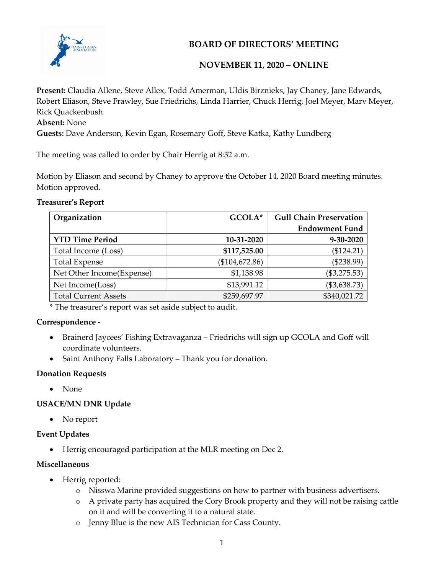

## BOARD OF DIRECTORS' MEETING

### NOVEMBER 11, 2020 – ONLINE

Present: Claudia Allene, Steve Allex, Todd Amerman, Uldis Birznieks, Jay Chaney, Jane Edwards, Robert Eliason, Steve Frawley, Sue Friedrichs, Linda Harrier, Chuck Herrig, Joel Meyer, Marv Meyer, Rick Quackenbush Absent: None

Guests: Dave Anderson, Kevin Egan, Rosemary Goff, Steve Katka, Kathy Lundberg

The meeting was called to order by Chair Herrig at 8:32 a.m.

Motion by Eliason and second by Chaney to approve the October 14, 2020 Board meeting minutes. Motion approved.

#### Treasurer's Report

| Organization                | GCOLA*         | <b>Gull Chain Preservation</b> |
|-----------------------------|----------------|--------------------------------|
|                             |                | <b>Endowment Fund</b>          |
| <b>YTD Time Period</b>      | 10-31-2020     | 9-30-2020                      |
| Total Income (Loss)         | \$117,525.00   | (\$124.21)                     |
| <b>Total Expense</b>        | (\$104,672.86) | $(\$238.99)$                   |
| Net Other Income(Expense)   | \$1,138.98     | $(\$3,275.53)$                 |
| Net Income(Loss)            | \$13,991.12    | (\$3,638.73)                   |
| <b>Total Current Assets</b> | \$259,697.97   | \$340,021.72                   |

\* The treasurer's report was set aside subject to audit.

#### Correspondence -

- Brainerd Jaycees' Fishing Extravaganza Friedrichs will sign up GCOLA and Goff will coordinate volunteers.
- Saint Anthony Falls Laboratory Thank you for donation.

#### Donation Requests

• None

# USACE/MN DNR Update

• No report

## Event Updates

Herrig encouraged participation at the MLR meeting on Dec 2.

## Miscellaneous

- Herrig reported:
	- o Nisswa Marine provided suggestions on how to partner with business advertisers.
	- o A private party has acquired the Cory Brook property and they will not be raising cattle on it and will be converting it to a natural state.
	- o Jenny Blue is the new AIS Technician for Cass County.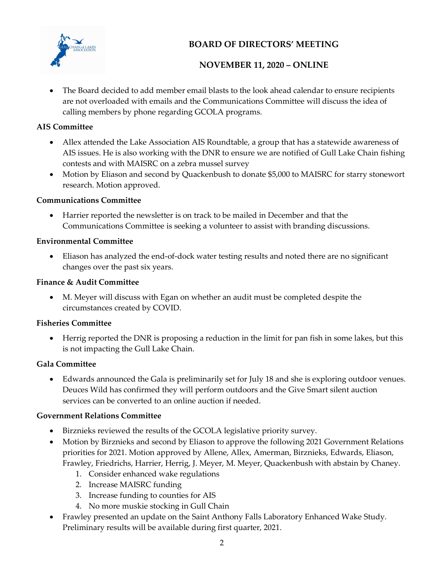

# BOARD OF DIRECTORS' MEETING

## NOVEMBER 11, 2020 – ONLINE

 The Board decided to add member email blasts to the look ahead calendar to ensure recipients are not overloaded with emails and the Communications Committee will discuss the idea of calling members by phone regarding GCOLA programs.

#### AIS Committee

- Allex attended the Lake Association AIS Roundtable, a group that has a statewide awareness of AIS issues. He is also working with the DNR to ensure we are notified of Gull Lake Chain fishing contests and with MAISRC on a zebra mussel survey
- Motion by Eliason and second by Quackenbush to donate \$5,000 to MAISRC for starry stonewort research. Motion approved.

#### Communications Committee

 Harrier reported the newsletter is on track to be mailed in December and that the Communications Committee is seeking a volunteer to assist with branding discussions.

### Environmental Committee

 Eliason has analyzed the end-of-dock water testing results and noted there are no significant changes over the past six years.

#### Finance & Audit Committee

 M. Meyer will discuss with Egan on whether an audit must be completed despite the circumstances created by COVID.

## Fisheries Committee

 Herrig reported the DNR is proposing a reduction in the limit for pan fish in some lakes, but this is not impacting the Gull Lake Chain.

## Gala Committee

 Edwards announced the Gala is preliminarily set for July 18 and she is exploring outdoor venues. Deuces Wild has confirmed they will perform outdoors and the Give Smart silent auction services can be converted to an online auction if needed.

#### Government Relations Committee

- Birznieks reviewed the results of the GCOLA legislative priority survey.
- Motion by Birznieks and second by Eliason to approve the following 2021 Government Relations priorities for 2021. Motion approved by Allene, Allex, Amerman, Birznieks, Edwards, Eliason, Frawley, Friedrichs, Harrier, Herrig, J. Meyer, M. Meyer, Quackenbush with abstain by Chaney.
	- 1. Consider enhanced wake regulations
	- 2. Increase MAISRC funding
	- 3. Increase funding to counties for AIS
	- 4. No more muskie stocking in Gull Chain
- Frawley presented an update on the Saint Anthony Falls Laboratory Enhanced Wake Study. Preliminary results will be available during first quarter, 2021.